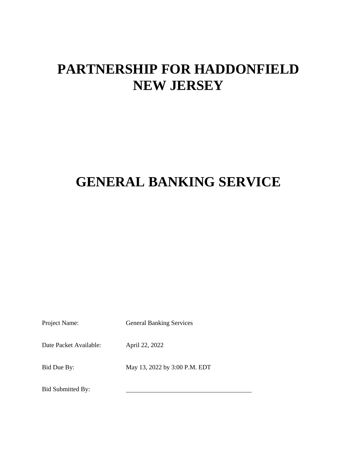# **PARTNERSHIP FOR HADDONFIELD NEW JERSEY**

# **GENERAL BANKING SERVICE**

Project Name: General Banking Services

Date Packet Available: April 22, 2022

Bid Due By: May 13, 2022 by 3:00 P.M. EDT

Bid Submitted By: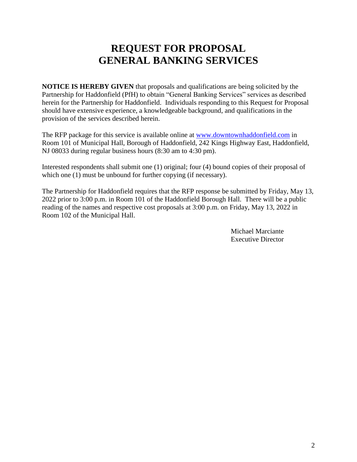# **REQUEST FOR PROPOSAL GENERAL BANKING SERVICES**

**NOTICE IS HEREBY GIVEN** that proposals and qualifications are being solicited by the Partnership for Haddonfield (PfH) to obtain "General Banking Services" services as described herein for the Partnership for Haddonfield. Individuals responding to this Request for Proposal should have extensive experience, a knowledgeable background, and qualifications in the provision of the services described herein.

The RFP package for this service is available online at [www.downtownhaddonfield.com](http://www.downtownhaddonfield.com/) in Room 101 of Municipal Hall, Borough of Haddonfield, 242 Kings Highway East, Haddonfield, NJ 08033 during regular business hours (8:30 am to 4:30 pm).

Interested respondents shall submit one (1) original; four (4) bound copies of their proposal of which one (1) must be unbound for further copying (if necessary).

The Partnership for Haddonfield requires that the RFP response be submitted by Friday, May 13, 2022 prior to 3:00 p.m. in Room 101 of the Haddonfield Borough Hall. There will be a public reading of the names and respective cost proposals at 3:00 p.m. on Friday, May 13, 2022 in Room 102 of the Municipal Hall.

> Michael Marciante Executive Director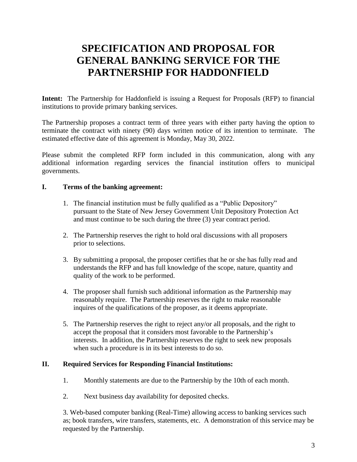# **SPECIFICATION AND PROPOSAL FOR GENERAL BANKING SERVICE FOR THE PARTNERSHIP FOR HADDONFIELD**

**Intent:** The Partnership for Haddonfield is issuing a Request for Proposals (RFP) to financial institutions to provide primary banking services.

The Partnership proposes a contract term of three years with either party having the option to terminate the contract with ninety (90) days written notice of its intention to terminate. The estimated effective date of this agreement is Monday, May 30, 2022.

Please submit the completed RFP form included in this communication, along with any additional information regarding services the financial institution offers to municipal governments.

# **I. Terms of the banking agreement:**

- 1. The financial institution must be fully qualified as a "Public Depository" pursuant to the State of New Jersey Government Unit Depository Protection Act and must continue to be such during the three (3) year contract period.
- 2. The Partnership reserves the right to hold oral discussions with all proposers prior to selections.
- 3. By submitting a proposal, the proposer certifies that he or she has fully read and understands the RFP and has full knowledge of the scope, nature, quantity and quality of the work to be performed.
- 4. The proposer shall furnish such additional information as the Partnership may reasonably require. The Partnership reserves the right to make reasonable inquires of the qualifications of the proposer, as it deems appropriate.
- 5. The Partnership reserves the right to reject any/or all proposals, and the right to accept the proposal that it considers most favorable to the Partnership's interests. In addition, the Partnership reserves the right to seek new proposals when such a procedure is in its best interests to do so.

# **II. Required Services for Responding Financial Institutions:**

- 1. Monthly statements are due to the Partnership by the 10th of each month.
- 2. Next business day availability for deposited checks.

3. Web-based computer banking (Real-Time) allowing access to banking services such as; book transfers, wire transfers, statements, etc. A demonstration of this service may be requested by the Partnership.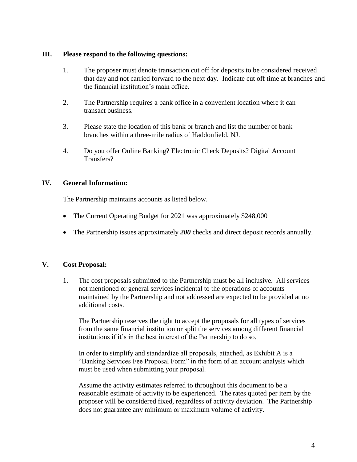### **III. Please respond to the following questions:**

- 1. The proposer must denote transaction cut off for deposits to be considered received that day and not carried forward to the next day. Indicate cut off time at branches and the financial institution's main office.
- 2. The Partnership requires a bank office in a convenient location where it can transact business.
- 3. Please state the location of this bank or branch and list the number of bank branches within a three-mile radius of Haddonfield, NJ.
- 4. Do you offer Online Banking? Electronic Check Deposits? Digital Account Transfers?

# **IV. General Information:**

The Partnership maintains accounts as listed below.

- The Current Operating Budget for 2021 was approximately \$248,000
- The Partnership issues approximately 200 checks and direct deposit records annually.

# **V. Cost Proposal:**

1. The cost proposals submitted to the Partnership must be all inclusive. All services not mentioned or general services incidental to the operations of accounts maintained by the Partnership and not addressed are expected to be provided at no additional costs.

The Partnership reserves the right to accept the proposals for all types of services from the same financial institution or split the services among different financial institutions if it's in the best interest of the Partnership to do so.

In order to simplify and standardize all proposals, attached, as Exhibit A is a "Banking Services Fee Proposal Form" in the form of an account analysis which must be used when submitting your proposal.

Assume the activity estimates referred to throughout this document to be a reasonable estimate of activity to be experienced. The rates quoted per item by the proposer will be considered fixed, regardless of activity deviation. The Partnership does not guarantee any minimum or maximum volume of activity.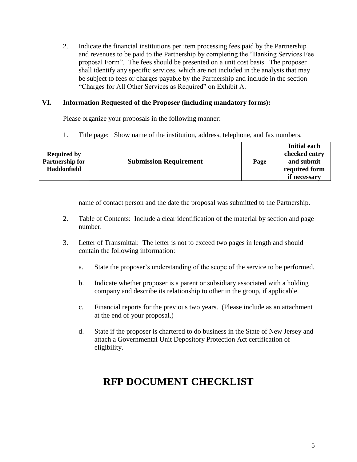2. Indicate the financial institutions per item processing fees paid by the Partnership and revenues to be paid to the Partnership by completing the "Banking Services Fee proposal Form". The fees should be presented on a unit cost basis. The proposer shall identify any specific services, which are not included in the analysis that may be subject to fees or charges payable by the Partnership and include in the section "Charges for All Other Services as Required" on Exhibit A.

# **VI. Information Requested of the Proposer (including mandatory forms):**

Please organize your proposals in the following manner:

1. Title page: Show name of the institution, address, telephone, and fax numbers,

|                        |                               |      | <b>Initial each</b> |
|------------------------|-------------------------------|------|---------------------|
| <b>Required by</b>     |                               |      | checked entry       |
| <b>Partnership for</b> | <b>Submission Requirement</b> | Page | and submit          |
| <b>Haddonfield</b>     |                               |      | required form       |
|                        |                               |      | if necessary        |

name of contact person and the date the proposal was submitted to the Partnership.

- 2. Table of Contents: Include a clear identification of the material by section and page number.
- 3. Letter of Transmittal: The letter is not to exceed two pages in length and should contain the following information:
	- a. State the proposer's understanding of the scope of the service to be performed.
	- b. Indicate whether proposer is a parent or subsidiary associated with a holding company and describe its relationship to other in the group, if applicable.
	- c. Financial reports for the previous two years. (Please include as an attachment at the end of your proposal.)
	- d. State if the proposer is chartered to do business in the State of New Jersey and attach a Governmental Unit Depository Protection Act certification of eligibility.

# **RFP DOCUMENT CHECKLIST**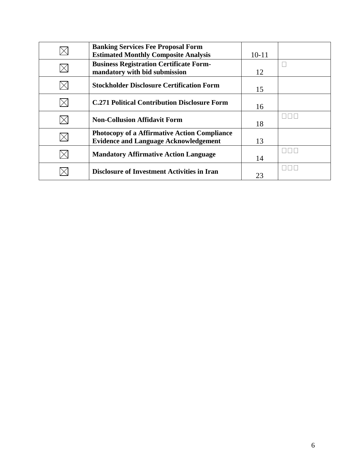| <b>Banking Services Fee Proposal Form</b><br><b>Estimated Monthly Composite Analysis</b>            | $10 - 11$ |  |
|-----------------------------------------------------------------------------------------------------|-----------|--|
| <b>Business Registration Certificate Form-</b><br>mandatory with bid submission                     | 12        |  |
| <b>Stockholder Disclosure Certification Form</b>                                                    | 15        |  |
| <b>C.271 Political Contribution Disclosure Form</b>                                                 | 16        |  |
| <b>Non-Collusion Affidavit Form</b>                                                                 | 18        |  |
| <b>Photocopy of a Affirmative Action Compliance</b><br><b>Evidence and Language Acknowledgement</b> | 13        |  |
| <b>Mandatory Affirmative Action Language</b>                                                        | 14        |  |
| <b>Disclosure of Investment Activities in Iran</b>                                                  | 23        |  |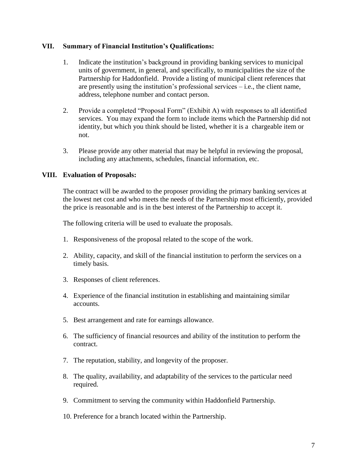### **VII. Summary of Financial Institution's Qualifications:**

- 1. Indicate the institution's background in providing banking services to municipal units of government, in general, and specifically, to municipalities the size of the Partnership for Haddonfield. Provide a listing of municipal client references that are presently using the institution's professional services – i.e., the client name, address, telephone number and contact person.
- 2. Provide a completed "Proposal Form" (Exhibit A) with responses to all identified services. You may expand the form to include items which the Partnership did not identity, but which you think should be listed, whether it is a chargeable item or not.
- 3. Please provide any other material that may be helpful in reviewing the proposal, including any attachments, schedules, financial information, etc.

# **VIII. Evaluation of Proposals:**

The contract will be awarded to the proposer providing the primary banking services at the lowest net cost and who meets the needs of the Partnership most efficiently, provided the price is reasonable and is in the best interest of the Partnership to accept it.

The following criteria will be used to evaluate the proposals.

- 1. Responsiveness of the proposal related to the scope of the work.
- 2. Ability, capacity, and skill of the financial institution to perform the services on a timely basis.
- 3. Responses of client references.
- 4. Experience of the financial institution in establishing and maintaining similar accounts.
- 5. Best arrangement and rate for earnings allowance.
- 6. The sufficiency of financial resources and ability of the institution to perform the contract.
- 7. The reputation, stability, and longevity of the proposer.
- 8. The quality, availability, and adaptability of the services to the particular need required.
- 9. Commitment to serving the community within Haddonfield Partnership.
- 10. Preference for a branch located within the Partnership.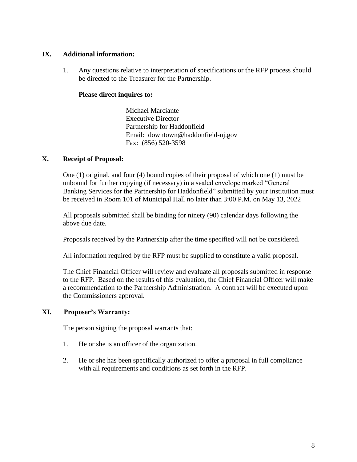## **IX. Additional information:**

1. Any questions relative to interpretation of specifications or the RFP process should be directed to the Treasurer for the Partnership.

### **Please direct inquires to:**

Michael Marciante Executive Director Partnership for Haddonfield Email: downtown@haddonfield-nj.gov Fax: (856) 520-3598

# **X. Receipt of Proposal:**

One (1) original, and four (4) bound copies of their proposal of which one (1) must be unbound for further copying (if necessary) in a sealed envelope marked "General Banking Services for the Partnership for Haddonfield" submitted by your institution must be received in Room 101 of Municipal Hall no later than 3:00 P.M. on May 13, 2022

All proposals submitted shall be binding for ninety (90) calendar days following the above due date.

Proposals received by the Partnership after the time specified will not be considered.

All information required by the RFP must be supplied to constitute a valid proposal.

The Chief Financial Officer will review and evaluate all proposals submitted in response to the RFP. Based on the results of this evaluation, the Chief Financial Officer will make a recommendation to the Partnership Administration. A contract will be executed upon the Commissioners approval.

# **XI. Proposer's Warranty:**

The person signing the proposal warrants that:

- 1. He or she is an officer of the organization.
- 2. He or she has been specifically authorized to offer a proposal in full compliance with all requirements and conditions as set forth in the RFP.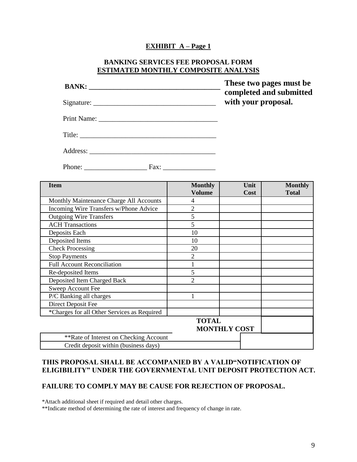#### **EXHIBIT A – Page 1**

#### **BANKING SERVICES FEE PROPOSAL FORM ESTIMATED MONTHLY COMPOSITE ANALYSIS**

|                                         |                                 | These two pages must be<br>completed and submitted<br>with your proposal. |                                |
|-----------------------------------------|---------------------------------|---------------------------------------------------------------------------|--------------------------------|
|                                         |                                 |                                                                           |                                |
|                                         |                                 |                                                                           |                                |
|                                         |                                 |                                                                           |                                |
|                                         |                                 |                                                                           |                                |
| <b>Item</b>                             | <b>Monthly</b><br><b>Volume</b> | Unit<br>Cost                                                              | <b>Monthly</b><br><b>Total</b> |
| Monthly Maintenance Charge All Accounts | $\overline{4}$                  |                                                                           |                                |
| Incoming Wire Transfers w/Phone Advice  | $\overline{2}$                  |                                                                           |                                |
| <b>Outgoing Wire Transfers</b>          | 5                               |                                                                           |                                |
| <b>ACH Transactions</b>                 | 5                               |                                                                           |                                |
| Deposits Each                           | 10                              |                                                                           |                                |
| Deposited Items                         | 10                              |                                                                           |                                |
| Check Processing                        | 20                              |                                                                           |                                |
| <b>Stop Payments</b>                    | 2                               |                                                                           |                                |
| <b>Full Account Reconciliation</b>      | $\mathbf{1}$                    |                                                                           |                                |
| Re-deposited Items                      | 5                               |                                                                           |                                |

# **THIS PROPOSAL SHALL BE ACCOMPANIED BY A VALID"NOTIFICATION OF ELIGIBILITY" UNDER THE GOVERNMENTAL UNIT DEPOSIT PROTECTION ACT.**

**TOTAL** 

**MONTHLY COST**

#### **FAILURE TO COMPLY MAY BE CAUSE FOR REJECTION OF PROPOSAL.**

\*Attach additional sheet if required and detail other charges.

Deposited Item Charged Back 2

P/C Banking all charges 1

\*\*Rate of Interest on Checking Account Credit deposit within (business days)

\*Charges for all Other Services as Required

Sweep Account Fee

Direct Deposit Fee

\*\*Indicate method of determining the rate of interest and frequency of change in rate.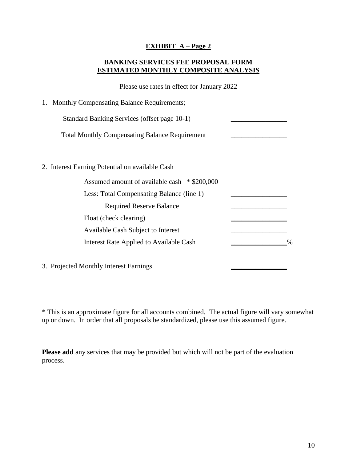# **EXHIBIT A – Page 2**

# **BANKING SERVICES FEE PROPOSAL FORM ESTIMATED MONTHLY COMPOSITE ANALYSIS**

Please use rates in effect for January 2022

| 1. Monthly Compensating Balance Requirements;         |   |
|-------------------------------------------------------|---|
| Standard Banking Services (offset page 10-1)          |   |
| <b>Total Monthly Compensating Balance Requirement</b> |   |
|                                                       |   |
| 2. Interest Earning Potential on available Cash       |   |
| Assumed amount of available cash * \$200,000          |   |
| Less: Total Compensating Balance (line 1)             |   |
| <b>Required Reserve Balance</b>                       |   |
| Float (check clearing)                                |   |
| Available Cash Subject to Interest                    |   |
| Interest Rate Applied to Available Cash               | % |
| 3. Projected Monthly Interest Earnings                |   |

\* This is an approximate figure for all accounts combined. The actual figure will vary somewhat up or down. In order that all proposals be standardized, please use this assumed figure.

**Please add** any services that may be provided but which will not be part of the evaluation process.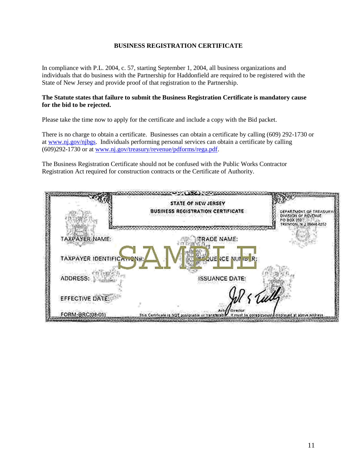#### **BUSINESS REGISTRATION CERTIFICATE**

In compliance with P.L. 2004, c. 57, starting September 1, 2004, all business organizations and individuals that do business with the Partnership for Haddonfield are required to be registered with the State of New Jersey and provide proof of that registration to the Partnership.

#### **The Statute states that failure to submit the Business Registration Certificate is mandatory cause for the bid to be rejected.**

Please take the time now to apply for the certificate and include a copy with the Bid packet.

There is no charge to obtain a certificate. Businesses can obtain a certificate by calling (609) 292-1730 or at [www.nj.gov/njbgs.](http://www.nj.gov/njbgs) Individuals performing personal services can obtain a certificate by calling (609)292-1730 or at [www.nj.gov/treasury/revenue/pdforms/rega.pdf.](http://www.nj.gov/treasury/revenue/pdforms/rega.pdf)

The Business Registration Certificate should not be confused with the Public Works Contractor Registration Act required for construction contracts or the Certificate of Authority.

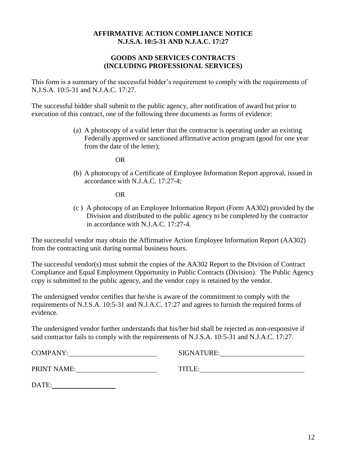# **AFFIRMATIVE ACTION COMPLIANCE NOTICE N.J.S.A. 10:5-31 AND N.J.A.C. 17:27**

# **GOODS AND SERVICES CONTRACTS (INCLUDING PROFESSIONAL SERVICES)**

This form is a summary of the successful bidder's requirement to comply with the requirements of N.J.S.A. 10:5-31 and N.J.A.C. 17:27.

The successful bidder shall submit to the public agency, after notification of award but prior to execution of this contract, one of the following three documents as forms of evidence:

> (a) A photocopy of a valid letter that the contractor is operating under an existing Federally approved or sanctioned affirmative action program (good for one year from the date of the letter);

> > OR

(b) A photocopy of a Certificate of Employee Information Report approval, issued in accordance with N.J.A.C. 17:27-4;

OR

(c ) A photocopy of an Employee Information Report (Form AA302) provided by the Division and distributed to the public agency to be completed by the contractor in accordance with N.J.A.C. 17:27-4.

The successful vendor may obtain the Affirmative Action Employee Information Report (AA302) from the contracting unit during normal business hours.

The successful vendor(s) must submit the copies of the AA302 Report to the Division of Contract Compliance and Equal Employment Opportunity in Public Contracts (Division). The Public Agency copy is submitted to the public agency, and the vendor copy is retained by the vendor.

The undersigned vendor certifies that he/she is aware of the commitment to comply with the requirements of N.J.S.A. 10:5-31 and N.J.A.C. 17:27 and agrees to furnish the required forms of evidence.

The undersigned vendor further understands that his/her bid shall be rejected as non-responsive if said contractor fails to comply with the requirements of N.J.S.A. 10:5-31 and N.J.A.C. 17:27.

| <b>COMPANY:</b>    | SIGNATURE: |
|--------------------|------------|
| <b>PRINT NAME:</b> | TITLE:     |
| DATE:              |            |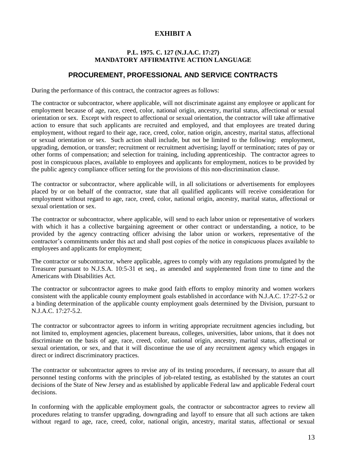# **EXHIBIT A**

#### **P.L. 1975. C. 127 (N.J.A.C. 17:27) MANDATORY AFFIRMATIVE ACTION LANGUAGE**

# **PROCUREMENT, PROFESSIONAL AND SERVICE CONTRACTS**

During the performance of this contract, the contractor agrees as follows:

The contractor or subcontractor, where applicable, will not discriminate against any employee or applicant for employment because of age, race, creed, color, national origin, ancestry, marital status, affectional or sexual orientation or sex. Except with respect to affectional or sexual orientation, the contractor will take affirmative action to ensure that such applicants are recruited and employed, and that employees are treated during employment, without regard to their age, race, creed, color, nation origin, ancestry, marital status, affectional or sexual orientation or sex. Such action shall include, but not be limited to the following: employment, upgrading, demotion, or transfer; recruitment or recruitment advertising; layoff or termination; rates of pay or other forms of compensation; and selection for training, including apprenticeship. The contractor agrees to post in conspicuous places, available to employees and applicants for employment, notices to be provided by the public agency compliance officer setting for the provisions of this non-discrimination clause.

The contractor or subcontractor, where applicable will, in all solicitations or advertisements for employees placed by or on behalf of the contractor, state that all qualified applicants will receive consideration for employment without regard to age, race, creed, color, national origin, ancestry, marital status, affectional or sexual orientation or sex.

The contractor or subcontractor, where applicable, will send to each labor union or representative of workers with which it has a collective bargaining agreement or other contract or understanding, a notice, to be provided by the agency contracting officer advising the labor union or workers, representative of the contractor's commitments under this act and shall post copies of the notice in conspicuous places available to employees and applicants for employment;

The contractor or subcontractor, where applicable, agrees to comply with any regulations promulgated by the Treasurer pursuant to N.J.S.A. 10:5-31 et seq., as amended and supplemented from time to time and the Americans with Disabilities Act.

The contractor or subcontractor agrees to make good faith efforts to employ minority and women workers consistent with the applicable county employment goals established in accordance with N.J.A.C. 17:27-5.2 or a binding determination of the applicable county employment goals determined by the Division, pursuant to N.J.A.C. 17:27-5.2.

The contractor or subcontractor agrees to inform in writing appropriate recruitment agencies including, but not limited to, employment agencies, placement bureaus, colleges, universities, labor unions, that it does not discriminate on the basis of age, race, creed, color, national origin, ancestry, marital status, affectional or sexual orientation, or sex, and that it will discontinue the use of any recruitment agency which engages in direct or indirect discriminatory practices.

The contractor or subcontractor agrees to revise any of its testing procedures, if necessary, to assure that all personnel testing conforms with the principles of job-related testing, as established by the statutes an court decisions of the State of New Jersey and as established by applicable Federal law and applicable Federal court decisions.

In conforming with the applicable employment goals, the contractor or subcontractor agrees to review all procedures relating to transfer upgrading, downgrading and layoff to ensure that all such actions are taken without regard to age, race, creed, color, national origin, ancestry, marital status, affectional or sexual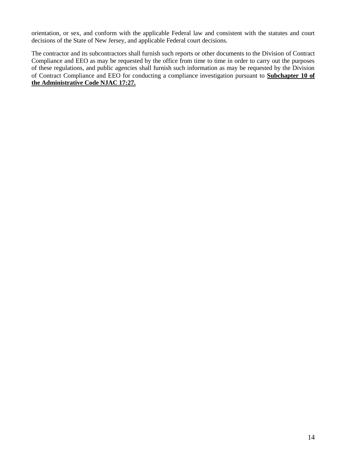orientation, or sex, and conform with the applicable Federal law and consistent with the statutes and court decisions of the State of New Jersey, and applicable Federal court decisions.

The contractor and its subcontractors shall furnish such reports or other documents to the Division of Contract Compliance and EEO as may be requested by the office from time to time in order to carry out the purposes of these regulations, and public agencies shall furnish such information as may be requested by the Division of Contract Compliance and EEO for conducting a compliance investigation pursuant to **Subchapter 10 of the Administrative Code NJAC 17:27.**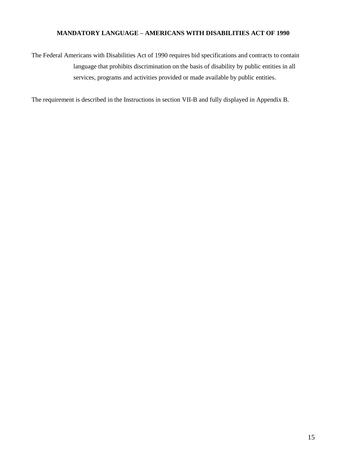#### **MANDATORY LANGUAGE – AMERICANS WITH DISABILITIES ACT OF 1990**

The Federal Americans with Disabilities Act of 1990 requires bid specifications and contracts to contain language that prohibits discrimination on the basis of disability by public entities in all services, programs and activities provided or made available by public entities.

The requirement is described in the Instructions in section VII-B and fully displayed in Appendix B.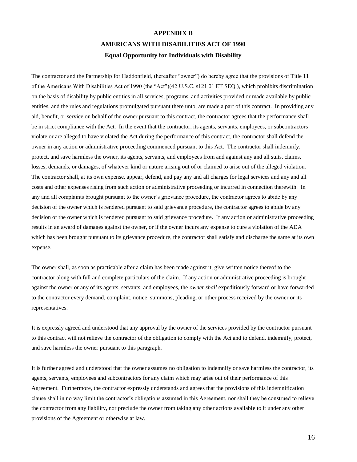# **APPENDIX B AMERICANS WITH DISABILITIES ACT OF 1990 Equal Opportunity for Individuals with Disability**

The contractor and the Partnership for Haddonfield, (hereafter "owner") do hereby agree that the provisions of Title 11 of the Americans With Disabilities Act of 1990 (the "Act")(42 U.S.C. s121 01 ET SEQ.), which prohibits discrimination on the basis of disability by public entities in all services, programs, and activities provided or made available by public entities, and the rules and regulations promulgated pursuant there unto, are made a part of this contract. In providing any aid, benefit, or service on behalf of the owner pursuant to this contract, the contractor agrees that the performance shall be in strict compliance with the Act. In the event that the contractor, its agents, servants, employees, or subcontractors violate or are alleged to have violated the Act during the performance of this contract, the contractor shall defend the owner in any action or administrative proceeding commenced pursuant to this Act. The contractor shall indemnify, protect, and save harmless the owner, its agents, servants, and employees from and against any and all suits, claims, losses, demands, or damages, of whatever kind or nature arising out of or claimed to arise out of the alleged violation. The contractor shall, at its own expense, appear, defend, and pay any and all charges for legal services and any and all costs and other expenses rising from such action or administrative proceeding or incurred in connection therewith. In any and all complaints brought pursuant to the owner's grievance procedure, the contractor agrees to abide by any decision of the owner which is rendered pursuant to said grievance procedure, the contractor agrees to abide by any decision of the owner which is rendered pursuant to said grievance procedure. If any action or administrative proceeding results in an award of damages against the owner, or if the owner incurs any expense to cure a violation of the ADA which has been brought pursuant to its grievance procedure, the contractor shall satisfy and discharge the same at its own expense.

The owner shall, as soon as practicable after a claim has been made against it, give written notice thereof to the contractor along with full and complete particulars of the claim. If any action or administrative proceeding is brought against the owner or any of its agents, servants, and employees, the *owner shall* expeditiously forward or have forwarded to the contractor every demand, complaint, notice, summons, pleading, or other process received by the owner or its representatives.

It is expressly agreed and understood that any approval by the owner of the services provided by the contractor pursuant to this contract will not relieve the contractor of the obligation to comply with the Act and to defend, indemnify, protect, and save harmless the owner pursuant to this paragraph.

It is further agreed and understood that the owner assumes no obligation to indemnify or save harmless the contractor, its agents, servants, employees and subcontractors for any claim which may arise out of their performance of this Agreement. Furthermore, the contractor expressly understands and agrees that the provisions of this indemnification clause shall in no way limit the contractor's obligations assumed in this Agreement, nor shall they be construed to relieve the contractor from any liability, nor preclude the owner from taking any other actions available to it under any other provisions of the Agreement or otherwise at law.

16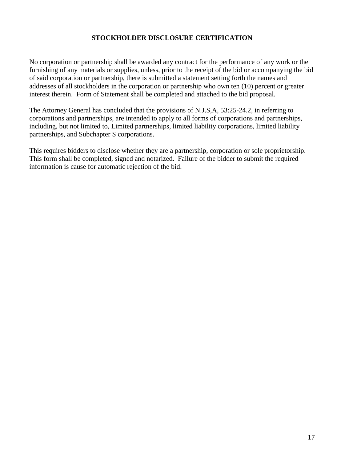### **STOCKHOLDER DISCLOSURE CERTIFICATION**

No corporation or partnership shall be awarded any contract for the performance of any work or the furnishing of any materials or supplies, unless, prior to the receipt of the bid or accompanying the bid of said corporation or partnership, there is submitted a statement setting forth the names and addresses of all stockholders in the corporation or partnership who own ten (10) percent or greater interest therein. Form of Statement shall be completed and attached to the bid proposal.

The Attorney General has concluded that the provisions of N.J.S,A, 53:25-24.2, in referring to corporations and partnerships, are intended to apply to all forms of corporations and partnerships, including, but not limited to, Limited partnerships, limited liability corporations, limited liability partnerships, and Subchapter S corporations.

This requires bidders to disclose whether they are a partnership, corporation or sole proprietorship. This form shall be completed, signed and notarized. Failure of the bidder to submit the required information is cause for automatic rejection of the bid.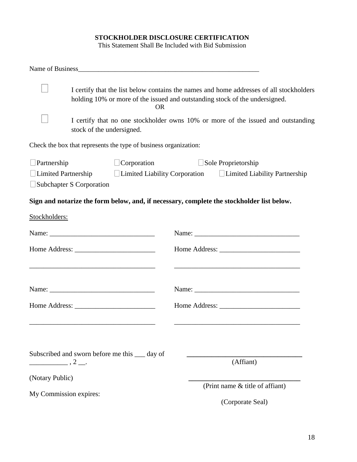# **STOCKHOLDER DISCLOSURE CERTIFICATION**

This Statement Shall Be Included with Bid Submission

|                                   | I certify that the list below contains the names and home addresses of all stockholders<br>holding 10% or more of the issued and outstanding stock of the undersigned.<br><b>OR</b> |                                                                                                                       |
|-----------------------------------|-------------------------------------------------------------------------------------------------------------------------------------------------------------------------------------|-----------------------------------------------------------------------------------------------------------------------|
|                                   | stock of the undersigned.                                                                                                                                                           | I certify that no one stockholder owns 10% or more of the issued and outstanding                                      |
|                                   | Check the box that represents the type of business organization:                                                                                                                    |                                                                                                                       |
| $\Box$ Partnership                | $\Box$ Corporation<br>Subchapter S Corporation                                                                                                                                      | $\Box$ Sole Proprietorship<br>□ Limited Partnership → Limited Liability Corporation → Limited Liability Partnership   |
|                                   |                                                                                                                                                                                     | Sign and notarize the form below, and, if necessary, complete the stockholder list below.                             |
| Stockholders:                     |                                                                                                                                                                                     |                                                                                                                       |
|                                   |                                                                                                                                                                                     |                                                                                                                       |
|                                   | <u> 1989 - Johann John Stoff, deutscher Stoffen und der Stoffen und der Stoffen und der Stoffen und der Stoffen</u>                                                                 | <u> 1989 - Johann Harry Harry Harry Harry Harry Harry Harry Harry Harry Harry Harry Harry Harry Harry Harry Harry</u> |
|                                   |                                                                                                                                                                                     |                                                                                                                       |
|                                   |                                                                                                                                                                                     |                                                                                                                       |
| $\frac{1}{2}$ , 2 $\frac{1}{2}$ . | Subscribed and sworn before me this ___ day of                                                                                                                                      | (Affiant)                                                                                                             |
| (Notary Public)                   |                                                                                                                                                                                     |                                                                                                                       |
| My Commission expires:            |                                                                                                                                                                                     | (Print name & title of affiant)<br>(Corporate Seal)                                                                   |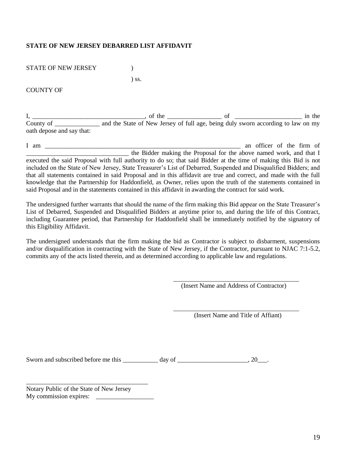#### **STATE OF NEW JERSEY DEBARRED LIST AFFIDAVIT**

STATE OF NEW JERSEY (1998)

) ss.

COUNTY OF

I, \_\_\_\_\_\_\_\_\_\_\_\_\_\_\_\_\_\_\_\_\_\_\_\_\_\_\_\_\_\_\_\_\_\_\_, of the \_\_\_\_\_\_\_\_\_\_\_\_\_\_\_\_\_ of \_\_\_\_\_\_\_\_\_\_\_\_\_\_\_\_\_\_\_\_\_ in the County of \_\_\_\_\_\_\_\_\_\_\_\_\_\_ and the State of New Jersey of full age, being duly sworn according to law on my oath depose and say that:

I am  $\blacksquare$ \_\_\_\_\_\_\_\_\_\_\_\_\_\_\_\_\_\_\_\_\_\_\_\_\_\_\_\_\_\_\_\_ the Bidder making the Proposal for the above named work, and that I executed the said Proposal with full authority to do so; that said Bidder at the time of making this Bid is not included on the State of New Jersey, State Treasurer's List of Debarred, Suspended and Disqualified Bidders; and that all statements contained in said Proposal and in this affidavit are true and correct, and made with the full knowledge that the Partnership for Haddonfield, as Owner, relies upon the truth of the statements contained in said Proposal and in the statements contained in this affidavit in awarding the contract for said work.

The undersigned further warrants that should the name of the firm making this Bid appear on the State Treasurer's List of Debarred, Suspended and Disqualified Bidders at anytime prior to, and during the life of this Contract, including Guarantee period, that Partnership for Haddonfield shall be immediately notified by the signatory of this Eligibility Affidavit.

The undersigned understands that the firm making the bid as Contractor is subject to disbarment, suspensions and/or disqualification in contracting with the State of New Jersey, if the Contractor, pursuant to NJAC 7:1-5.2, commits any of the acts listed therein, and as determined according to applicable law and regulations.

(Insert Name and Address of Contractor)

(Insert Name and Title of Affiant)

Sworn and subscribed before me this day of \_\_\_\_\_\_\_\_\_\_\_\_\_\_\_\_\_\_\_\_\_\_\_\_\_, 20\_\_\_.

Notary Public of the State of New Jersey My commission expires: \_\_\_\_\_\_\_\_\_\_\_\_\_\_\_\_\_\_

\_\_\_\_\_\_\_\_\_\_\_\_\_\_\_\_\_\_\_\_\_\_\_\_\_\_\_\_\_\_\_\_\_\_\_\_\_\_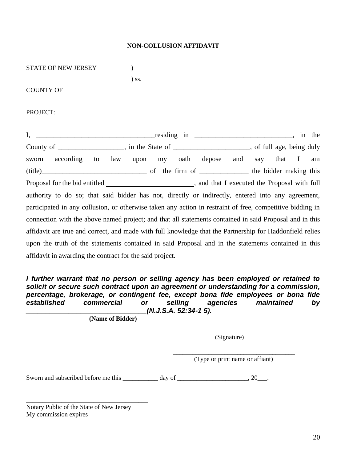#### **NON-COLLUSION AFFIDAVIT**

| STATE OF NEW JERSEY                                      |                                                                                                           |
|----------------------------------------------------------|-----------------------------------------------------------------------------------------------------------|
|                                                          | $)$ ss.                                                                                                   |
| <b>COUNTY OF</b>                                         |                                                                                                           |
| PROJECT:                                                 |                                                                                                           |
| I,                                                       |                                                                                                           |
|                                                          | County of _____________________, in the State of _____________________, of full age, being duly           |
| sworn                                                    | according to law upon my oath depose and say that I<br>am                                                 |
|                                                          |                                                                                                           |
|                                                          |                                                                                                           |
|                                                          | authority to do so; that said bidder has not, directly or indirectly, entered into any agreement,         |
|                                                          | participated in any collusion, or otherwise taken any action in restraint of free, competitive bidding in |
|                                                          | connection with the above named project; and that all statements contained in said Proposal and in this   |
|                                                          | affidavit are true and correct, and made with full knowledge that the Partnership for Haddonfield relies  |
|                                                          | upon the truth of the statements contained in said Proposal and in the statements contained in this       |
| affidavit in awarding the contract for the said project. |                                                                                                           |

*I further warrant that no person or selling agency has been employed or retained to solicit or secure such contract upon an agreement or understanding for a commission, percentage, brokerage, or contingent fee, except bona fide employees or bona fide established commercial or selling agencies maintained by \_\_\_\_\_\_\_\_\_\_\_\_\_\_\_\_\_\_\_\_\_\_\_\_\_\_\_\_\_\_\_(N.J.S.A. 52:34-1 5).*

**(Name of Bidder)**

(Signature)

\_\_\_\_\_\_\_\_\_\_\_\_\_\_\_\_\_\_\_\_\_\_\_\_\_\_\_\_\_\_\_\_\_\_\_\_\_\_

\_\_\_\_\_\_\_\_\_\_\_\_\_\_\_\_\_\_\_\_\_\_\_\_\_\_\_\_\_\_\_\_\_\_\_\_\_\_ (Type or print name or affiant)

Sworn and subscribed before me this \_\_\_\_\_\_\_\_\_\_ day of \_\_\_\_\_\_\_\_\_\_\_\_\_\_\_\_\_, 20\_\_\_.

Notary Public of the State of New Jersey My commission expires \_\_\_\_\_\_\_\_\_\_\_\_\_\_\_\_\_\_

\_\_\_\_\_\_\_\_\_\_\_\_\_\_\_\_\_\_\_\_\_\_\_\_\_\_\_\_\_\_\_\_\_\_\_\_\_\_